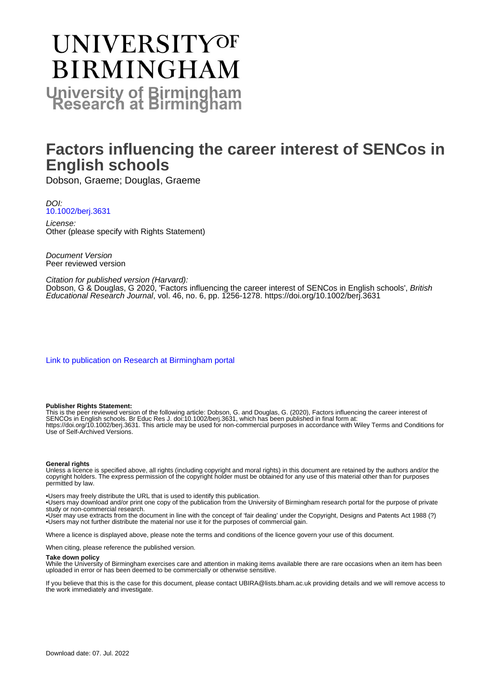# **UNIVERSITYOF BIRMINGHAM University of Birmingham**

# **Factors influencing the career interest of SENCos in English schools**

Dobson, Graeme; Douglas, Graeme

DOI: [10.1002/berj.3631](https://doi.org/10.1002/berj.3631)

License: Other (please specify with Rights Statement)

Document Version Peer reviewed version

#### Citation for published version (Harvard):

Dobson, G & Douglas, G 2020, 'Factors influencing the career interest of SENCos in English schools', British Educational Research Journal, vol. 46, no. 6, pp. 1256-1278. <https://doi.org/10.1002/berj.3631>

[Link to publication on Research at Birmingham portal](https://birmingham.elsevierpure.com/en/publications/a9a757f7-3758-44bc-9323-c970b7d2a769)

#### **Publisher Rights Statement:**

This is the peer reviewed version of the following article: Dobson, G. and Douglas, G. (2020), Factors influencing the career interest of SENCOs in English schools. Br Educ Res J. doi:10.1002/berj.3631, which has been published in final form at: https://doi.org/10.1002/berj.3631. This article may be used for non-commercial purposes in accordance with Wiley Terms and Conditions for Use of Self-Archived Versions.

#### **General rights**

Unless a licence is specified above, all rights (including copyright and moral rights) in this document are retained by the authors and/or the copyright holders. The express permission of the copyright holder must be obtained for any use of this material other than for purposes permitted by law.

• Users may freely distribute the URL that is used to identify this publication.

• Users may download and/or print one copy of the publication from the University of Birmingham research portal for the purpose of private study or non-commercial research.

• User may use extracts from the document in line with the concept of 'fair dealing' under the Copyright, Designs and Patents Act 1988 (?) • Users may not further distribute the material nor use it for the purposes of commercial gain.

Where a licence is displayed above, please note the terms and conditions of the licence govern your use of this document.

When citing, please reference the published version.

#### **Take down policy**

While the University of Birmingham exercises care and attention in making items available there are rare occasions when an item has been uploaded in error or has been deemed to be commercially or otherwise sensitive.

If you believe that this is the case for this document, please contact UBIRA@lists.bham.ac.uk providing details and we will remove access to the work immediately and investigate.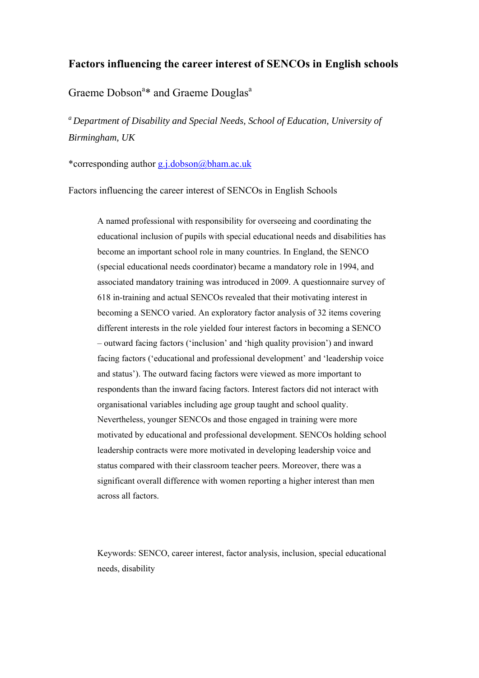# **Factors influencing the career interest of SENCOs in English schools**

# Graeme Dobson<sup>a\*</sup> and Graeme Douglas<sup>a</sup>

*a Department of Disability and Special Needs, School of Education, University of Birmingham, UK* 

\*corresponding author g.j.dobson@bham.ac.uk

Factors influencing the career interest of SENCOs in English Schools

A named professional with responsibility for overseeing and coordinating the educational inclusion of pupils with special educational needs and disabilities has become an important school role in many countries. In England, the SENCO (special educational needs coordinator) became a mandatory role in 1994, and associated mandatory training was introduced in 2009. A questionnaire survey of 618 in-training and actual SENCOs revealed that their motivating interest in becoming a SENCO varied. An exploratory factor analysis of 32 items covering different interests in the role yielded four interest factors in becoming a SENCO – outward facing factors ('inclusion' and 'high quality provision') and inward facing factors ('educational and professional development' and 'leadership voice and status'). The outward facing factors were viewed as more important to respondents than the inward facing factors. Interest factors did not interact with organisational variables including age group taught and school quality. Nevertheless, younger SENCOs and those engaged in training were more motivated by educational and professional development. SENCOs holding school leadership contracts were more motivated in developing leadership voice and status compared with their classroom teacher peers. Moreover, there was a significant overall difference with women reporting a higher interest than men across all factors.

Keywords: SENCO, career interest, factor analysis, inclusion, special educational needs, disability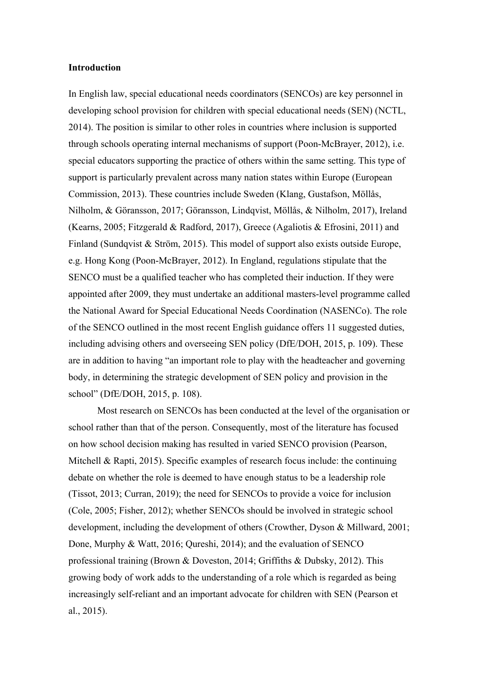#### **Introduction**

In English law, special educational needs coordinators (SENCOs) are key personnel in developing school provision for children with special educational needs (SEN) (NCTL, 2014). The position is similar to other roles in countries where inclusion is supported through schools operating internal mechanisms of support (Poon-McBrayer, 2012), i.e. special educators supporting the practice of others within the same setting. This type of support is particularly prevalent across many nation states within Europe (European Commission, 2013). These countries include Sweden (Klang, Gustafson, Möllås, Nilholm, & Göransson, 2017; Göransson, Lindqvist, Möllås, & Nilholm, 2017), Ireland (Kearns, 2005; Fitzgerald & Radford, 2017), Greece (Agaliotis & Efrosini, 2011) and Finland (Sundqvist & Ström, 2015). This model of support also exists outside Europe, e.g. Hong Kong (Poon-McBrayer, 2012). In England, regulations stipulate that the SENCO must be a qualified teacher who has completed their induction. If they were appointed after 2009, they must undertake an additional masters-level programme called the National Award for Special Educational Needs Coordination (NASENCo). The role of the SENCO outlined in the most recent English guidance offers 11 suggested duties, including advising others and overseeing SEN policy (DfE/DOH, 2015, p. 109). These are in addition to having "an important role to play with the headteacher and governing body, in determining the strategic development of SEN policy and provision in the school" (DfE/DOH, 2015, p. 108).

Most research on SENCOs has been conducted at the level of the organisation or school rather than that of the person. Consequently, most of the literature has focused on how school decision making has resulted in varied SENCO provision (Pearson, Mitchell & Rapti, 2015). Specific examples of research focus include: the continuing debate on whether the role is deemed to have enough status to be a leadership role (Tissot, 2013; Curran, 2019); the need for SENCOs to provide a voice for inclusion (Cole, 2005; Fisher, 2012); whether SENCOs should be involved in strategic school development, including the development of others (Crowther, Dyson & Millward, 2001; Done, Murphy & Watt, 2016; Qureshi, 2014); and the evaluation of SENCO professional training (Brown & Doveston, 2014; Griffiths & Dubsky, 2012). This growing body of work adds to the understanding of a role which is regarded as being increasingly self-reliant and an important advocate for children with SEN (Pearson et al., 2015).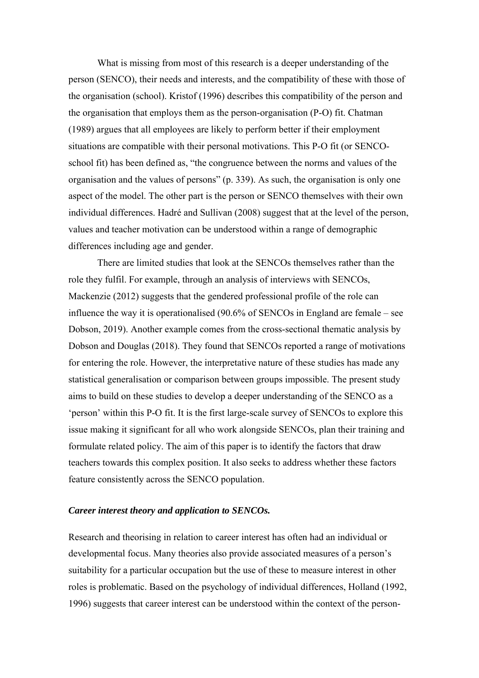What is missing from most of this research is a deeper understanding of the person (SENCO), their needs and interests, and the compatibility of these with those of the organisation (school). Kristof (1996) describes this compatibility of the person and the organisation that employs them as the person-organisation (P-O) fit. Chatman (1989) argues that all employees are likely to perform better if their employment situations are compatible with their personal motivations. This P-O fit (or SENCOschool fit) has been defined as, "the congruence between the norms and values of the organisation and the values of persons" (p. 339). As such, the organisation is only one aspect of the model. The other part is the person or SENCO themselves with their own individual differences. Hadré and Sullivan (2008) suggest that at the level of the person, values and teacher motivation can be understood within a range of demographic differences including age and gender.

There are limited studies that look at the SENCOs themselves rather than the role they fulfil. For example, through an analysis of interviews with SENCOs, Mackenzie (2012) suggests that the gendered professional profile of the role can influence the way it is operationalised (90.6% of SENCOs in England are female – see Dobson, 2019). Another example comes from the cross-sectional thematic analysis by Dobson and Douglas (2018). They found that SENCOs reported a range of motivations for entering the role. However, the interpretative nature of these studies has made any statistical generalisation or comparison between groups impossible. The present study aims to build on these studies to develop a deeper understanding of the SENCO as a 'person' within this P-O fit. It is the first large-scale survey of SENCOs to explore this issue making it significant for all who work alongside SENCOs, plan their training and formulate related policy. The aim of this paper is to identify the factors that draw teachers towards this complex position. It also seeks to address whether these factors feature consistently across the SENCO population.

# *Career interest theory and application to SENCOs.*

Research and theorising in relation to career interest has often had an individual or developmental focus. Many theories also provide associated measures of a person's suitability for a particular occupation but the use of these to measure interest in other roles is problematic. Based on the psychology of individual differences, Holland (1992, 1996) suggests that career interest can be understood within the context of the person-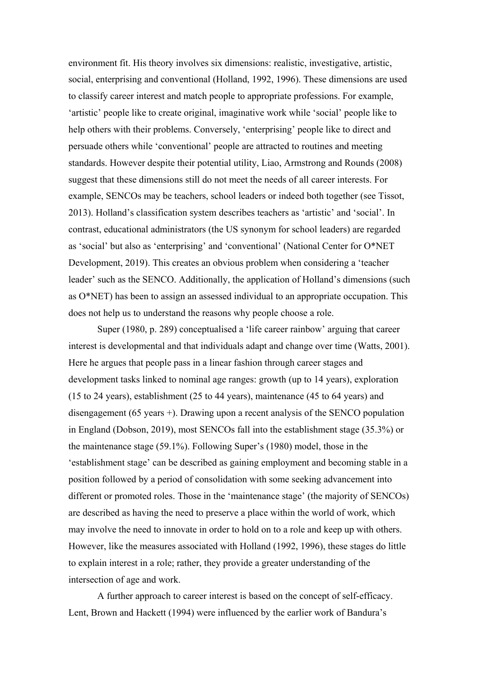environment fit. His theory involves six dimensions: realistic, investigative, artistic, social, enterprising and conventional (Holland, 1992, 1996). These dimensions are used to classify career interest and match people to appropriate professions. For example, 'artistic' people like to create original, imaginative work while 'social' people like to help others with their problems. Conversely, 'enterprising' people like to direct and persuade others while 'conventional' people are attracted to routines and meeting standards. However despite their potential utility, Liao, Armstrong and Rounds (2008) suggest that these dimensions still do not meet the needs of all career interests. For example, SENCOs may be teachers, school leaders or indeed both together (see Tissot, 2013). Holland's classification system describes teachers as 'artistic' and 'social'. In contrast, educational administrators (the US synonym for school leaders) are regarded as 'social' but also as 'enterprising' and 'conventional' (National Center for O\*NET Development, 2019). This creates an obvious problem when considering a 'teacher leader' such as the SENCO. Additionally, the application of Holland's dimensions (such as O\*NET) has been to assign an assessed individual to an appropriate occupation. This does not help us to understand the reasons why people choose a role.

Super (1980, p. 289) conceptualised a 'life career rainbow' arguing that career interest is developmental and that individuals adapt and change over time (Watts, 2001). Here he argues that people pass in a linear fashion through career stages and development tasks linked to nominal age ranges: growth (up to 14 years), exploration (15 to 24 years), establishment (25 to 44 years), maintenance (45 to 64 years) and disengagement (65 years +). Drawing upon a recent analysis of the SENCO population in England (Dobson, 2019), most SENCOs fall into the establishment stage (35.3%) or the maintenance stage (59.1%). Following Super's (1980) model, those in the 'establishment stage' can be described as gaining employment and becoming stable in a position followed by a period of consolidation with some seeking advancement into different or promoted roles. Those in the 'maintenance stage' (the majority of SENCOs) are described as having the need to preserve a place within the world of work, which may involve the need to innovate in order to hold on to a role and keep up with others. However, like the measures associated with Holland (1992, 1996), these stages do little to explain interest in a role; rather, they provide a greater understanding of the intersection of age and work.

A further approach to career interest is based on the concept of self-efficacy. Lent, Brown and Hackett (1994) were influenced by the earlier work of Bandura's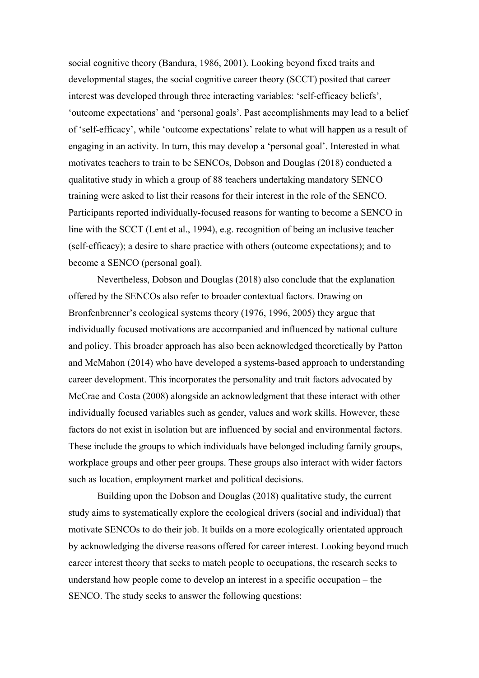social cognitive theory (Bandura, 1986, 2001). Looking beyond fixed traits and developmental stages, the social cognitive career theory (SCCT) posited that career interest was developed through three interacting variables: 'self-efficacy beliefs', 'outcome expectations' and 'personal goals'. Past accomplishments may lead to a belief of 'self-efficacy', while 'outcome expectations' relate to what will happen as a result of engaging in an activity. In turn, this may develop a 'personal goal'. Interested in what motivates teachers to train to be SENCOs, Dobson and Douglas (2018) conducted a qualitative study in which a group of 88 teachers undertaking mandatory SENCO training were asked to list their reasons for their interest in the role of the SENCO. Participants reported individually-focused reasons for wanting to become a SENCO in line with the SCCT (Lent et al., 1994), e.g. recognition of being an inclusive teacher (self-efficacy); a desire to share practice with others (outcome expectations); and to become a SENCO (personal goal).

Nevertheless, Dobson and Douglas (2018) also conclude that the explanation offered by the SENCOs also refer to broader contextual factors. Drawing on Bronfenbrenner's ecological systems theory (1976, 1996, 2005) they argue that individually focused motivations are accompanied and influenced by national culture and policy. This broader approach has also been acknowledged theoretically by Patton and McMahon (2014) who have developed a systems-based approach to understanding career development. This incorporates the personality and trait factors advocated by McCrae and Costa (2008) alongside an acknowledgment that these interact with other individually focused variables such as gender, values and work skills. However, these factors do not exist in isolation but are influenced by social and environmental factors. These include the groups to which individuals have belonged including family groups, workplace groups and other peer groups. These groups also interact with wider factors such as location, employment market and political decisions.

Building upon the Dobson and Douglas (2018) qualitative study, the current study aims to systematically explore the ecological drivers (social and individual) that motivate SENCOs to do their job. It builds on a more ecologically orientated approach by acknowledging the diverse reasons offered for career interest. Looking beyond much career interest theory that seeks to match people to occupations, the research seeks to understand how people come to develop an interest in a specific occupation – the SENCO. The study seeks to answer the following questions: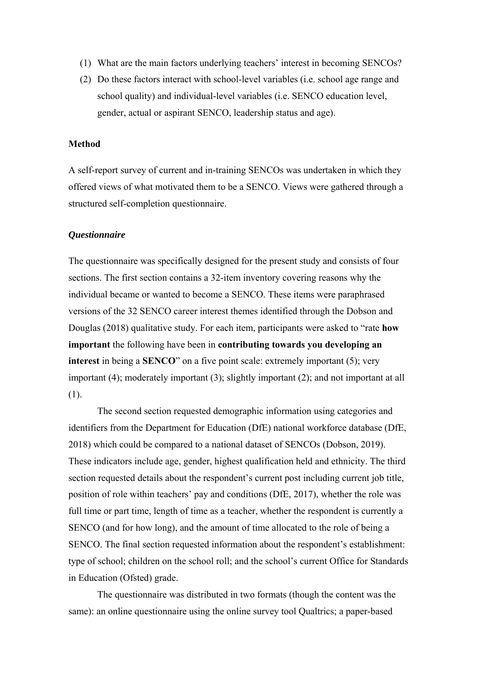- (1) What are the main factors underlying teachers' interest in becoming SENCOs?
- (2) Do these factors interact with school-level variables (i.e. school age range and school quality) and individual-level variables (i.e. SENCO education level, gender, actual or aspirant SENCO, leadership status and age).

#### **Method**

A self-report survey of current and in-training SENCOs was undertaken in which they offered views of what motivated them to be a SENCO. Views were gathered through a structured self-completion questionnaire.

#### *Questionnaire*

The questionnaire was specifically designed for the present study and consists of four sections. The first section contains a 32-item inventory covering reasons why the individual became or wanted to become a SENCO. These items were paraphrased versions of the 32 SENCO career interest themes identified through the Dobson and Douglas (2018) qualitative study. For each item, participants were asked to "rate **how important** the following have been in **contributing towards you developing an interest** in being a **SENCO**" on a five point scale: extremely important (5); very important (4); moderately important (3); slightly important (2); and not important at all (1).

The second section requested demographic information using categories and identifiers from the Department for Education (DfE) national workforce database (DfE, 2018) which could be compared to a national dataset of SENCOs (Dobson, 2019). These indicators include age, gender, highest qualification held and ethnicity. The third section requested details about the respondent's current post including current job title, position of role within teachers' pay and conditions (DfE, 2017), whether the role was full time or part time, length of time as a teacher, whether the respondent is currently a SENCO (and for how long), and the amount of time allocated to the role of being a SENCO. The final section requested information about the respondent's establishment: type of school; children on the school roll; and the school's current Office for Standards in Education (Ofsted) grade.

The questionnaire was distributed in two formats (though the content was the same): an online questionnaire using the online survey tool Qualtrics; a paper-based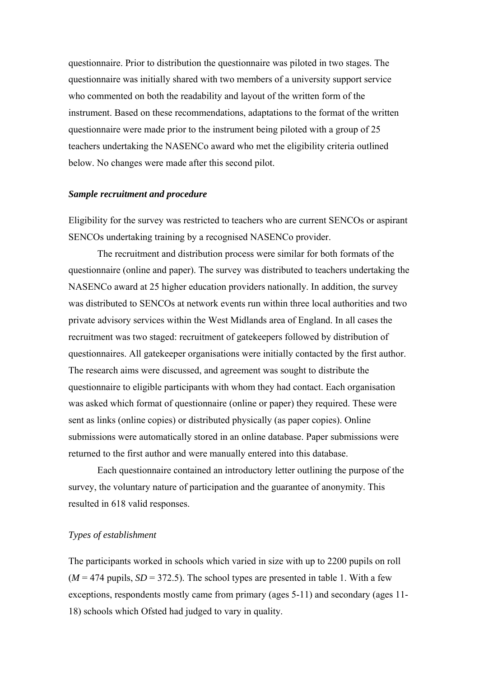questionnaire. Prior to distribution the questionnaire was piloted in two stages. The questionnaire was initially shared with two members of a university support service who commented on both the readability and layout of the written form of the instrument. Based on these recommendations, adaptations to the format of the written questionnaire were made prior to the instrument being piloted with a group of 25 teachers undertaking the NASENCo award who met the eligibility criteria outlined below. No changes were made after this second pilot.

## *Sample recruitment and procedure*

Eligibility for the survey was restricted to teachers who are current SENCOs or aspirant SENCOs undertaking training by a recognised NASENCo provider.

The recruitment and distribution process were similar for both formats of the questionnaire (online and paper). The survey was distributed to teachers undertaking the NASENCo award at 25 higher education providers nationally. In addition, the survey was distributed to SENCOs at network events run within three local authorities and two private advisory services within the West Midlands area of England. In all cases the recruitment was two staged: recruitment of gatekeepers followed by distribution of questionnaires. All gatekeeper organisations were initially contacted by the first author. The research aims were discussed, and agreement was sought to distribute the questionnaire to eligible participants with whom they had contact. Each organisation was asked which format of questionnaire (online or paper) they required. These were sent as links (online copies) or distributed physically (as paper copies). Online submissions were automatically stored in an online database. Paper submissions were returned to the first author and were manually entered into this database.

Each questionnaire contained an introductory letter outlining the purpose of the survey, the voluntary nature of participation and the guarantee of anonymity. This resulted in 618 valid responses.

# *Types of establishment*

The participants worked in schools which varied in size with up to 2200 pupils on roll  $(M = 474$  pupils,  $SD = 372.5$ ). The school types are presented in table 1. With a few exceptions, respondents mostly came from primary (ages 5-11) and secondary (ages 11- 18) schools which Ofsted had judged to vary in quality.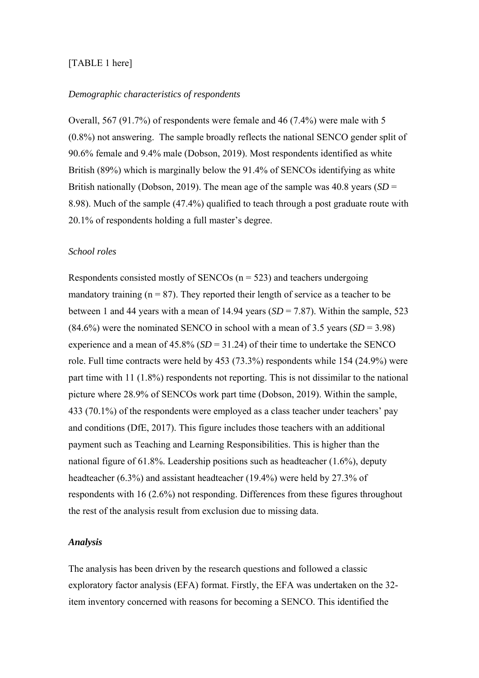# [TABLE 1 here]

# *Demographic characteristics of respondents*

Overall, 567 (91.7%) of respondents were female and 46 (7.4%) were male with 5 (0.8%) not answering. The sample broadly reflects the national SENCO gender split of 90.6% female and 9.4% male (Dobson, 2019). Most respondents identified as white British (89%) which is marginally below the 91.4% of SENCOs identifying as white British nationally (Dobson, 2019). The mean age of the sample was 40.8 years (*SD* = 8.98). Much of the sample (47.4%) qualified to teach through a post graduate route with 20.1% of respondents holding a full master's degree.

#### *School roles*

Respondents consisted mostly of SENCOs  $(n = 523)$  and teachers undergoing mandatory training  $(n = 87)$ . They reported their length of service as a teacher to be between 1 and 44 years with a mean of 14.94 years  $(SD = 7.87)$ . Within the sample, 523  $(84.6\%)$  were the nominated SENCO in school with a mean of 3.5 years  $(SD = 3.98)$ experience and a mean of  $45.8\%$  (*SD* = 31.24) of their time to undertake the SENCO role. Full time contracts were held by 453 (73.3%) respondents while 154 (24.9%) were part time with 11 (1.8%) respondents not reporting. This is not dissimilar to the national picture where 28.9% of SENCOs work part time (Dobson, 2019). Within the sample, 433 (70.1%) of the respondents were employed as a class teacher under teachers' pay and conditions (DfE, 2017). This figure includes those teachers with an additional payment such as Teaching and Learning Responsibilities. This is higher than the national figure of 61.8%. Leadership positions such as headteacher (1.6%), deputy headteacher (6.3%) and assistant headteacher (19.4%) were held by 27.3% of respondents with 16 (2.6%) not responding. Differences from these figures throughout the rest of the analysis result from exclusion due to missing data.

# *Analysis*

The analysis has been driven by the research questions and followed a classic exploratory factor analysis (EFA) format. Firstly, the EFA was undertaken on the 32 item inventory concerned with reasons for becoming a SENCO. This identified the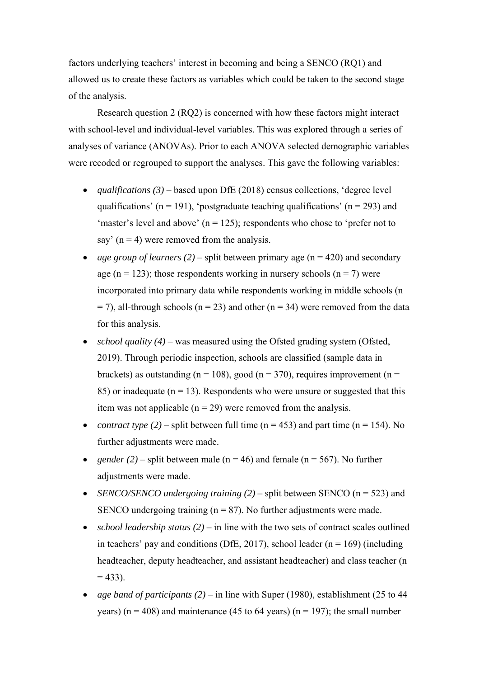factors underlying teachers' interest in becoming and being a SENCO (RQ1) and allowed us to create these factors as variables which could be taken to the second stage of the analysis.

Research question 2 (RQ2) is concerned with how these factors might interact with school-level and individual-level variables. This was explored through a series of analyses of variance (ANOVAs). Prior to each ANOVA selected demographic variables were recoded or regrouped to support the analyses. This gave the following variables:

- *qualifications (3)* based upon DfE (2018) census collections, 'degree level qualifications' ( $n = 191$ ), 'postgraduate teaching qualifications' ( $n = 293$ ) and 'master's level and above'  $(n = 125)$ ; respondents who chose to 'prefer not to say'  $(n = 4)$  were removed from the analysis.
- *age group of learners (2)* split between primary age ( $n = 420$ ) and secondary age ( $n = 123$ ); those respondents working in nursery schools ( $n = 7$ ) were incorporated into primary data while respondents working in middle schools (n  $=$  7), all-through schools (n = 23) and other (n = 34) were removed from the data for this analysis.
- *school quality (4)* was measured using the Ofsted grading system (Ofsted, 2019). Through periodic inspection, schools are classified (sample data in brackets) as outstanding ( $n = 108$ ), good ( $n = 370$ ), requires improvement ( $n =$ 85) or inadequate ( $n = 13$ ). Respondents who were unsure or suggested that this item was not applicable  $(n = 29)$  were removed from the analysis.
- *contract type (2)* split between full time ( $n = 453$ ) and part time ( $n = 154$ ). No further adjustments were made.
- *gender* (2) split between male ( $n = 46$ ) and female ( $n = 567$ ). No further adjustments were made.
- *SENCO/SENCO undergoing training (2)* split between SENCO (n = 523) and SENCO undergoing training  $(n = 87)$ . No further adjustments were made.
- *school leadership status (2)* in line with the two sets of contract scales outlined in teachers' pay and conditions (DfE, 2017), school leader ( $n = 169$ ) (including headteacher, deputy headteacher, and assistant headteacher) and class teacher (n  $= 433$ ).
- *age band of participants (2)* in line with Super (1980), establishment (25 to 44 years) ( $n = 408$ ) and maintenance (45 to 64 years) ( $n = 197$ ); the small number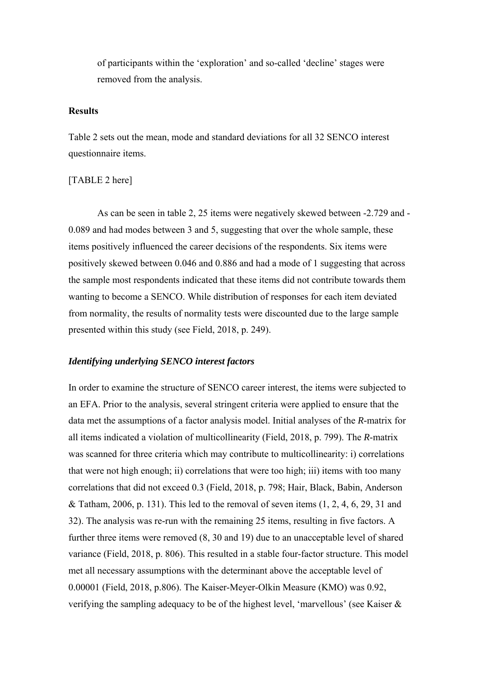of participants within the 'exploration' and so-called 'decline' stages were removed from the analysis.

# **Results**

Table 2 sets out the mean, mode and standard deviations for all 32 SENCO interest questionnaire items.

# [TABLE 2 here]

As can be seen in table 2, 25 items were negatively skewed between -2.729 and - 0.089 and had modes between 3 and 5, suggesting that over the whole sample, these items positively influenced the career decisions of the respondents. Six items were positively skewed between 0.046 and 0.886 and had a mode of 1 suggesting that across the sample most respondents indicated that these items did not contribute towards them wanting to become a SENCO. While distribution of responses for each item deviated from normality, the results of normality tests were discounted due to the large sample presented within this study (see Field, 2018, p. 249).

# *Identifying underlying SENCO interest factors*

In order to examine the structure of SENCO career interest, the items were subjected to an EFA. Prior to the analysis, several stringent criteria were applied to ensure that the data met the assumptions of a factor analysis model. Initial analyses of the *R-*matrix for all items indicated a violation of multicollinearity (Field, 2018, p. 799). The *R*-matrix was scanned for three criteria which may contribute to multicollinearity: i) correlations that were not high enough; ii) correlations that were too high; iii) items with too many correlations that did not exceed 0.3 (Field, 2018, p. 798; Hair, Black, Babin, Anderson & Tatham, 2006, p. 131). This led to the removal of seven items  $(1, 2, 4, 6, 29, 31,$  and 32). The analysis was re-run with the remaining 25 items, resulting in five factors. A further three items were removed (8, 30 and 19) due to an unacceptable level of shared variance (Field, 2018, p. 806). This resulted in a stable four-factor structure. This model met all necessary assumptions with the determinant above the acceptable level of 0.00001 (Field, 2018, p.806). The Kaiser-Meyer-Olkin Measure (KMO) was 0.92, verifying the sampling adequacy to be of the highest level, 'marvellous' (see Kaiser &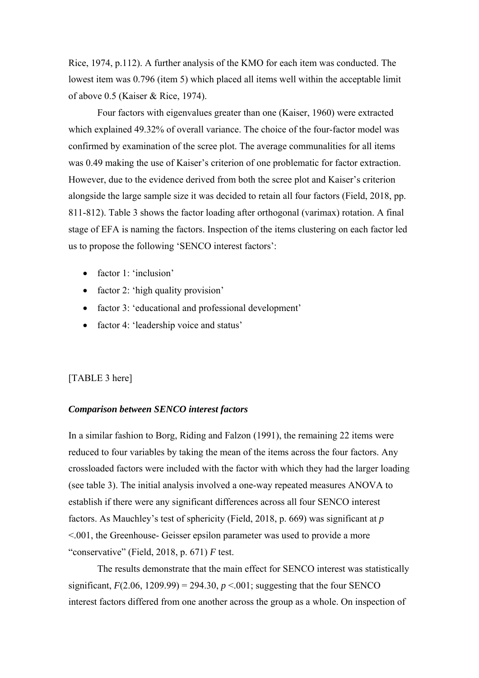Rice, 1974, p.112). A further analysis of the KMO for each item was conducted. The lowest item was 0.796 (item 5) which placed all items well within the acceptable limit of above 0.5 (Kaiser & Rice, 1974).

Four factors with eigenvalues greater than one (Kaiser, 1960) were extracted which explained 49.32% of overall variance. The choice of the four-factor model was confirmed by examination of the scree plot. The average communalities for all items was 0.49 making the use of Kaiser's criterion of one problematic for factor extraction. However, due to the evidence derived from both the scree plot and Kaiser's criterion alongside the large sample size it was decided to retain all four factors (Field, 2018, pp. 811-812). Table 3 shows the factor loading after orthogonal (varimax) rotation. A final stage of EFA is naming the factors. Inspection of the items clustering on each factor led us to propose the following 'SENCO interest factors':

- factor 1: 'inclusion'
- factor 2: 'high quality provision'
- factor 3: 'educational and professional development'
- factor 4: 'leadership voice and status'

# [TABLE 3 here]

#### *Comparison between SENCO interest factors*

In a similar fashion to Borg, Riding and Falzon (1991), the remaining 22 items were reduced to four variables by taking the mean of the items across the four factors. Any crossloaded factors were included with the factor with which they had the larger loading (see table 3). The initial analysis involved a one-way repeated measures ANOVA to establish if there were any significant differences across all four SENCO interest factors. As Mauchley's test of sphericity (Field, 2018, p. 669) was significant at *p* <.001, the Greenhouse- Geisser epsilon parameter was used to provide a more "conservative" (Field, 2018, p. 671) *F* test.

The results demonstrate that the main effect for SENCO interest was statistically significant,  $F(2.06, 1209.99) = 294.30$ ,  $p < .001$ ; suggesting that the four SENCO interest factors differed from one another across the group as a whole. On inspection of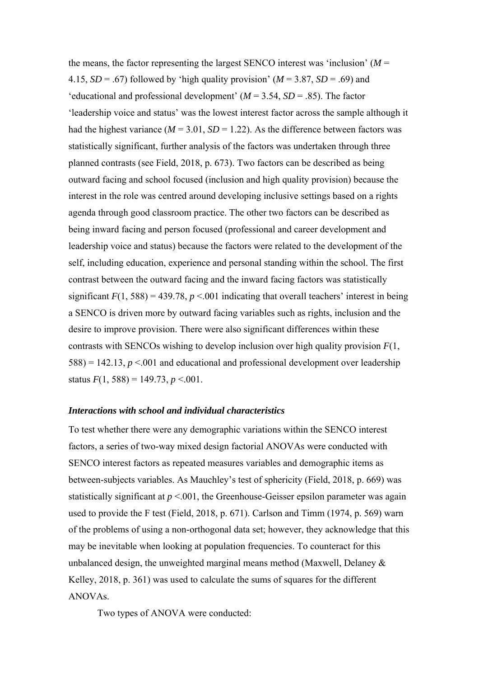the means, the factor representing the largest SENCO interest was 'inclusion'  $(M =$ 4.15,  $SD = .67$ ) followed by 'high quality provision' ( $M = 3.87$ ,  $SD = .69$ ) and 'educational and professional development'  $(M = 3.54, SD = .85)$ . The factor 'leadership voice and status' was the lowest interest factor across the sample although it had the highest variance ( $M = 3.01$ ,  $SD = 1.22$ ). As the difference between factors was statistically significant, further analysis of the factors was undertaken through three planned contrasts (see Field, 2018, p. 673). Two factors can be described as being outward facing and school focused (inclusion and high quality provision) because the interest in the role was centred around developing inclusive settings based on a rights agenda through good classroom practice. The other two factors can be described as being inward facing and person focused (professional and career development and leadership voice and status) because the factors were related to the development of the self, including education, experience and personal standing within the school. The first contrast between the outward facing and the inward facing factors was statistically significant  $F(1, 588) = 439.78$ ,  $p \le 0.001$  indicating that overall teachers' interest in being a SENCO is driven more by outward facing variables such as rights, inclusion and the desire to improve provision. There were also significant differences within these contrasts with SENCOs wishing to develop inclusion over high quality provision *F*(1,  $588$ ) = 142.13,  $p < 0.001$  and educational and professional development over leadership status  $F(1, 588) = 149.73, p < .001$ .

#### *Interactions with school and individual characteristics*

To test whether there were any demographic variations within the SENCO interest factors, a series of two-way mixed design factorial ANOVAs were conducted with SENCO interest factors as repeated measures variables and demographic items as between-subjects variables. As Mauchley's test of sphericity (Field, 2018, p. 669) was statistically significant at  $p < 0.001$ , the Greenhouse-Geisser epsilon parameter was again used to provide the F test (Field, 2018, p. 671). Carlson and Timm (1974, p. 569) warn of the problems of using a non-orthogonal data set; however, they acknowledge that this may be inevitable when looking at population frequencies. To counteract for this unbalanced design, the unweighted marginal means method (Maxwell, Delaney  $\&$ Kelley, 2018, p. 361) was used to calculate the sums of squares for the different ANOVAs.

Two types of ANOVA were conducted: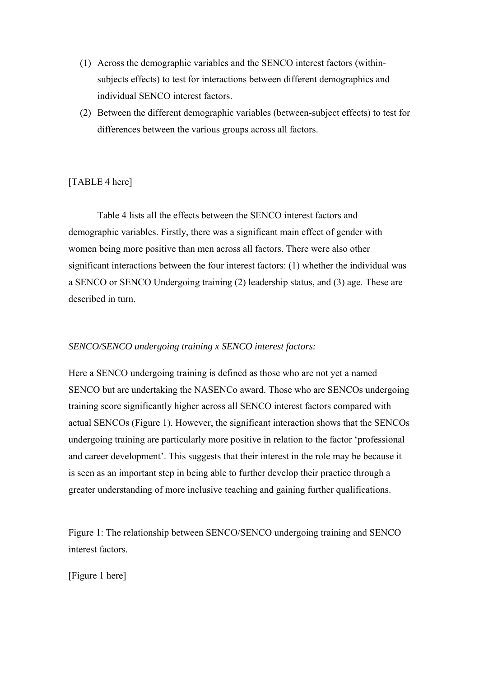- (1) Across the demographic variables and the SENCO interest factors (withinsubjects effects) to test for interactions between different demographics and individual SENCO interest factors.
- (2) Between the different demographic variables (between-subject effects) to test for differences between the various groups across all factors.

# [TABLE 4 here]

Table 4 lists all the effects between the SENCO interest factors and demographic variables. Firstly, there was a significant main effect of gender with women being more positive than men across all factors. There were also other significant interactions between the four interest factors: (1) whether the individual was a SENCO or SENCO Undergoing training (2) leadership status, and (3) age. These are described in turn.

# *SENCO/SENCO undergoing training x SENCO interest factors:*

Here a SENCO undergoing training is defined as those who are not yet a named SENCO but are undertaking the NASENCo award. Those who are SENCOs undergoing training score significantly higher across all SENCO interest factors compared with actual SENCOs (Figure 1). However, the significant interaction shows that the SENCOs undergoing training are particularly more positive in relation to the factor 'professional and career development'. This suggests that their interest in the role may be because it is seen as an important step in being able to further develop their practice through a greater understanding of more inclusive teaching and gaining further qualifications.

Figure 1: The relationship between SENCO/SENCO undergoing training and SENCO interest factors.

[Figure 1 here]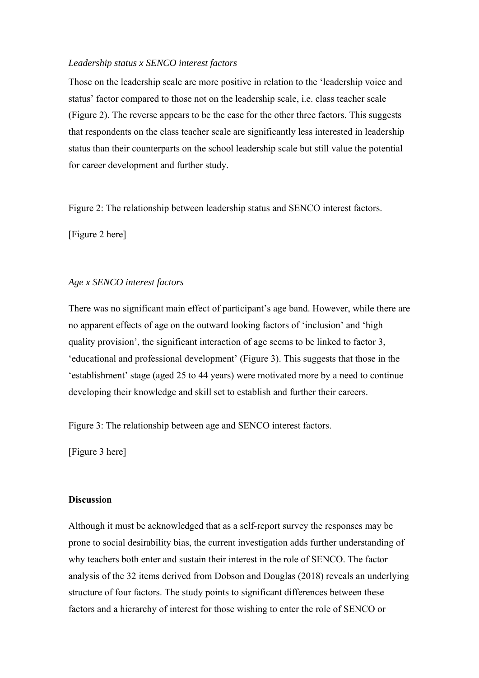# *Leadership status x SENCO interest factors*

Those on the leadership scale are more positive in relation to the 'leadership voice and status' factor compared to those not on the leadership scale, i.e. class teacher scale (Figure 2). The reverse appears to be the case for the other three factors. This suggests that respondents on the class teacher scale are significantly less interested in leadership status than their counterparts on the school leadership scale but still value the potential for career development and further study.

Figure 2: The relationship between leadership status and SENCO interest factors.

[Figure 2 here]

#### *Age x SENCO interest factors*

There was no significant main effect of participant's age band. However, while there are no apparent effects of age on the outward looking factors of 'inclusion' and 'high quality provision', the significant interaction of age seems to be linked to factor 3, 'educational and professional development' (Figure 3). This suggests that those in the 'establishment' stage (aged 25 to 44 years) were motivated more by a need to continue developing their knowledge and skill set to establish and further their careers.

Figure 3: The relationship between age and SENCO interest factors.

[Figure 3 here]

# **Discussion**

Although it must be acknowledged that as a self-report survey the responses may be prone to social desirability bias, the current investigation adds further understanding of why teachers both enter and sustain their interest in the role of SENCO. The factor analysis of the 32 items derived from Dobson and Douglas (2018) reveals an underlying structure of four factors. The study points to significant differences between these factors and a hierarchy of interest for those wishing to enter the role of SENCO or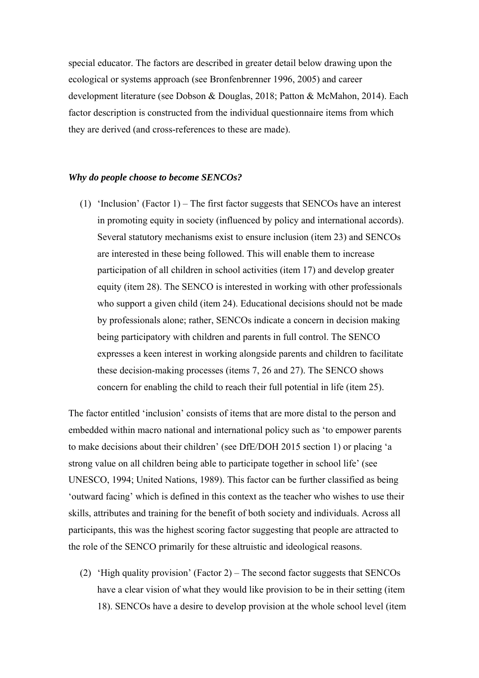special educator. The factors are described in greater detail below drawing upon the ecological or systems approach (see Bronfenbrenner 1996, 2005) and career development literature (see Dobson & Douglas, 2018; Patton & McMahon, 2014). Each factor description is constructed from the individual questionnaire items from which they are derived (and cross-references to these are made).

#### *Why do people choose to become SENCOs?*

(1) 'Inclusion' (Factor 1) – The first factor suggests that SENCOs have an interest in promoting equity in society (influenced by policy and international accords). Several statutory mechanisms exist to ensure inclusion (item 23) and SENCOs are interested in these being followed. This will enable them to increase participation of all children in school activities (item 17) and develop greater equity (item 28). The SENCO is interested in working with other professionals who support a given child (item 24). Educational decisions should not be made by professionals alone; rather, SENCOs indicate a concern in decision making being participatory with children and parents in full control. The SENCO expresses a keen interest in working alongside parents and children to facilitate these decision-making processes (items 7, 26 and 27). The SENCO shows concern for enabling the child to reach their full potential in life (item 25).

The factor entitled 'inclusion' consists of items that are more distal to the person and embedded within macro national and international policy such as 'to empower parents to make decisions about their children' (see DfE/DOH 2015 section 1) or placing 'a strong value on all children being able to participate together in school life' (see UNESCO, 1994; United Nations, 1989). This factor can be further classified as being 'outward facing' which is defined in this context as the teacher who wishes to use their skills, attributes and training for the benefit of both society and individuals. Across all participants, this was the highest scoring factor suggesting that people are attracted to the role of the SENCO primarily for these altruistic and ideological reasons.

(2) 'High quality provision' (Factor 2) – The second factor suggests that SENCOs have a clear vision of what they would like provision to be in their setting (item 18). SENCOs have a desire to develop provision at the whole school level (item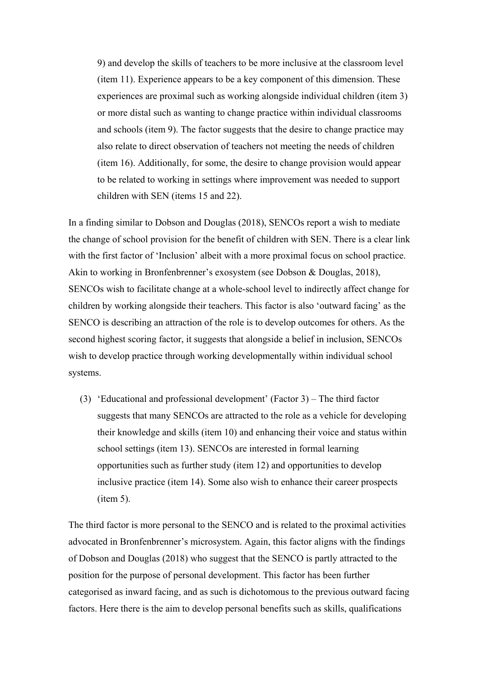9) and develop the skills of teachers to be more inclusive at the classroom level (item 11). Experience appears to be a key component of this dimension. These experiences are proximal such as working alongside individual children (item 3) or more distal such as wanting to change practice within individual classrooms and schools (item 9). The factor suggests that the desire to change practice may also relate to direct observation of teachers not meeting the needs of children (item 16). Additionally, for some, the desire to change provision would appear to be related to working in settings where improvement was needed to support children with SEN (items 15 and 22).

In a finding similar to Dobson and Douglas (2018), SENCOs report a wish to mediate the change of school provision for the benefit of children with SEN. There is a clear link with the first factor of 'Inclusion' albeit with a more proximal focus on school practice. Akin to working in Bronfenbrenner's exosystem (see Dobson & Douglas, 2018), SENCOs wish to facilitate change at a whole-school level to indirectly affect change for children by working alongside their teachers. This factor is also 'outward facing' as the SENCO is describing an attraction of the role is to develop outcomes for others. As the second highest scoring factor, it suggests that alongside a belief in inclusion, SENCOs wish to develop practice through working developmentally within individual school systems.

(3) 'Educational and professional development' (Factor 3) – The third factor suggests that many SENCOs are attracted to the role as a vehicle for developing their knowledge and skills (item 10) and enhancing their voice and status within school settings (item 13). SENCOs are interested in formal learning opportunities such as further study (item 12) and opportunities to develop inclusive practice (item 14). Some also wish to enhance their career prospects (item 5).

The third factor is more personal to the SENCO and is related to the proximal activities advocated in Bronfenbrenner's microsystem. Again, this factor aligns with the findings of Dobson and Douglas (2018) who suggest that the SENCO is partly attracted to the position for the purpose of personal development. This factor has been further categorised as inward facing, and as such is dichotomous to the previous outward facing factors. Here there is the aim to develop personal benefits such as skills, qualifications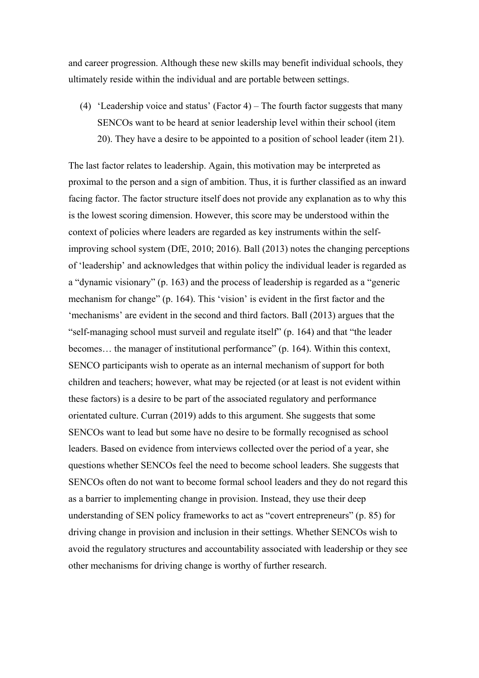and career progression. Although these new skills may benefit individual schools, they ultimately reside within the individual and are portable between settings.

(4) 'Leadership voice and status' (Factor 4) – The fourth factor suggests that many SENCOs want to be heard at senior leadership level within their school (item 20). They have a desire to be appointed to a position of school leader (item 21).

The last factor relates to leadership. Again, this motivation may be interpreted as proximal to the person and a sign of ambition. Thus, it is further classified as an inward facing factor. The factor structure itself does not provide any explanation as to why this is the lowest scoring dimension. However, this score may be understood within the context of policies where leaders are regarded as key instruments within the selfimproving school system (DfE, 2010; 2016). Ball (2013) notes the changing perceptions of 'leadership' and acknowledges that within policy the individual leader is regarded as a "dynamic visionary" (p. 163) and the process of leadership is regarded as a "generic mechanism for change" (p. 164). This 'vision' is evident in the first factor and the 'mechanisms' are evident in the second and third factors. Ball (2013) argues that the "self-managing school must surveil and regulate itself" (p. 164) and that "the leader becomes… the manager of institutional performance" (p. 164). Within this context, SENCO participants wish to operate as an internal mechanism of support for both children and teachers; however, what may be rejected (or at least is not evident within these factors) is a desire to be part of the associated regulatory and performance orientated culture. Curran (2019) adds to this argument. She suggests that some SENCOs want to lead but some have no desire to be formally recognised as school leaders. Based on evidence from interviews collected over the period of a year, she questions whether SENCOs feel the need to become school leaders. She suggests that SENCOs often do not want to become formal school leaders and they do not regard this as a barrier to implementing change in provision. Instead, they use their deep understanding of SEN policy frameworks to act as "covert entrepreneurs" (p. 85) for driving change in provision and inclusion in their settings. Whether SENCOs wish to avoid the regulatory structures and accountability associated with leadership or they see other mechanisms for driving change is worthy of further research.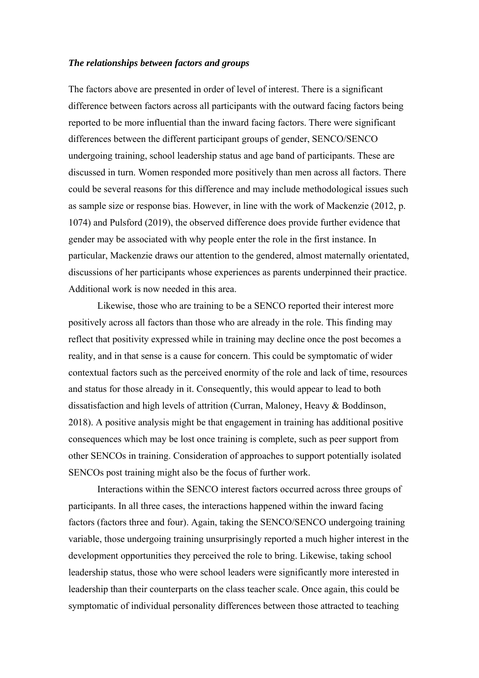# *The relationships between factors and groups*

The factors above are presented in order of level of interest. There is a significant difference between factors across all participants with the outward facing factors being reported to be more influential than the inward facing factors. There were significant differences between the different participant groups of gender, SENCO/SENCO undergoing training, school leadership status and age band of participants. These are discussed in turn. Women responded more positively than men across all factors. There could be several reasons for this difference and may include methodological issues such as sample size or response bias. However, in line with the work of Mackenzie (2012, p. 1074) and Pulsford (2019), the observed difference does provide further evidence that gender may be associated with why people enter the role in the first instance. In particular, Mackenzie draws our attention to the gendered, almost maternally orientated, discussions of her participants whose experiences as parents underpinned their practice. Additional work is now needed in this area.

Likewise, those who are training to be a SENCO reported their interest more positively across all factors than those who are already in the role. This finding may reflect that positivity expressed while in training may decline once the post becomes a reality, and in that sense is a cause for concern. This could be symptomatic of wider contextual factors such as the perceived enormity of the role and lack of time, resources and status for those already in it. Consequently, this would appear to lead to both dissatisfaction and high levels of attrition (Curran, Maloney, Heavy & Boddinson, 2018). A positive analysis might be that engagement in training has additional positive consequences which may be lost once training is complete, such as peer support from other SENCOs in training. Consideration of approaches to support potentially isolated SENCOs post training might also be the focus of further work.

Interactions within the SENCO interest factors occurred across three groups of participants. In all three cases, the interactions happened within the inward facing factors (factors three and four). Again, taking the SENCO/SENCO undergoing training variable, those undergoing training unsurprisingly reported a much higher interest in the development opportunities they perceived the role to bring. Likewise, taking school leadership status, those who were school leaders were significantly more interested in leadership than their counterparts on the class teacher scale. Once again, this could be symptomatic of individual personality differences between those attracted to teaching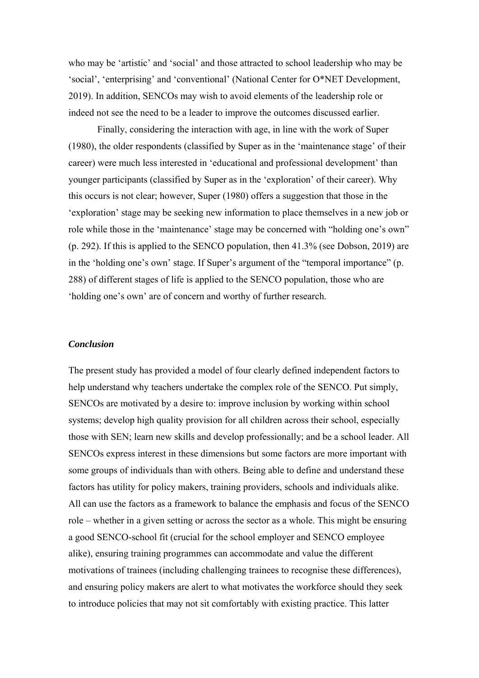who may be 'artistic' and 'social' and those attracted to school leadership who may be 'social', 'enterprising' and 'conventional' (National Center for O\*NET Development, 2019). In addition, SENCOs may wish to avoid elements of the leadership role or indeed not see the need to be a leader to improve the outcomes discussed earlier.

Finally, considering the interaction with age, in line with the work of Super (1980), the older respondents (classified by Super as in the 'maintenance stage' of their career) were much less interested in 'educational and professional development' than younger participants (classified by Super as in the 'exploration' of their career). Why this occurs is not clear; however, Super (1980) offers a suggestion that those in the 'exploration' stage may be seeking new information to place themselves in a new job or role while those in the 'maintenance' stage may be concerned with "holding one's own" (p. 292). If this is applied to the SENCO population, then 41.3% (see Dobson, 2019) are in the 'holding one's own' stage. If Super's argument of the "temporal importance" (p. 288) of different stages of life is applied to the SENCO population, those who are 'holding one's own' are of concern and worthy of further research.

# *Conclusion*

The present study has provided a model of four clearly defined independent factors to help understand why teachers undertake the complex role of the SENCO. Put simply, SENCOs are motivated by a desire to: improve inclusion by working within school systems; develop high quality provision for all children across their school, especially those with SEN; learn new skills and develop professionally; and be a school leader. All SENCOs express interest in these dimensions but some factors are more important with some groups of individuals than with others. Being able to define and understand these factors has utility for policy makers, training providers, schools and individuals alike. All can use the factors as a framework to balance the emphasis and focus of the SENCO role – whether in a given setting or across the sector as a whole. This might be ensuring a good SENCO-school fit (crucial for the school employer and SENCO employee alike), ensuring training programmes can accommodate and value the different motivations of trainees (including challenging trainees to recognise these differences), and ensuring policy makers are alert to what motivates the workforce should they seek to introduce policies that may not sit comfortably with existing practice. This latter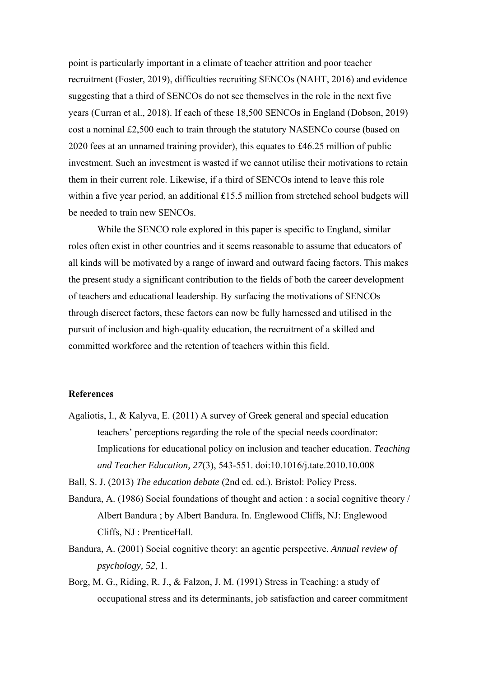point is particularly important in a climate of teacher attrition and poor teacher recruitment (Foster, 2019), difficulties recruiting SENCOs (NAHT, 2016) and evidence suggesting that a third of SENCOs do not see themselves in the role in the next five years (Curran et al., 2018). If each of these 18,500 SENCOs in England (Dobson, 2019) cost a nominal £2,500 each to train through the statutory NASENCo course (based on 2020 fees at an unnamed training provider), this equates to £46.25 million of public investment. Such an investment is wasted if we cannot utilise their motivations to retain them in their current role. Likewise, if a third of SENCOs intend to leave this role within a five year period, an additional £15.5 million from stretched school budgets will be needed to train new SENCOs.

While the SENCO role explored in this paper is specific to England, similar roles often exist in other countries and it seems reasonable to assume that educators of all kinds will be motivated by a range of inward and outward facing factors. This makes the present study a significant contribution to the fields of both the career development of teachers and educational leadership. By surfacing the motivations of SENCOs through discreet factors, these factors can now be fully harnessed and utilised in the pursuit of inclusion and high-quality education, the recruitment of a skilled and committed workforce and the retention of teachers within this field.

# **References**

Agaliotis, I., & Kalyva, E. (2011) A survey of Greek general and special education teachers' perceptions regarding the role of the special needs coordinator: Implications for educational policy on inclusion and teacher education. *Teaching and Teacher Education, 27*(3), 543-551. doi:10.1016/j.tate.2010.10.008

Ball, S. J. (2013) *The education debate* (2nd ed. ed.). Bristol: Policy Press.

- Bandura, A. (1986) Social foundations of thought and action : a social cognitive theory / Albert Bandura ; by Albert Bandura. In. Englewood Cliffs, NJ: Englewood Cliffs, NJ : PrenticeHall.
- Bandura, A. (2001) Social cognitive theory: an agentic perspective. *Annual review of psychology, 52*, 1.
- Borg, M. G., Riding, R. J., & Falzon, J. M. (1991) Stress in Teaching: a study of occupational stress and its determinants, job satisfaction and career commitment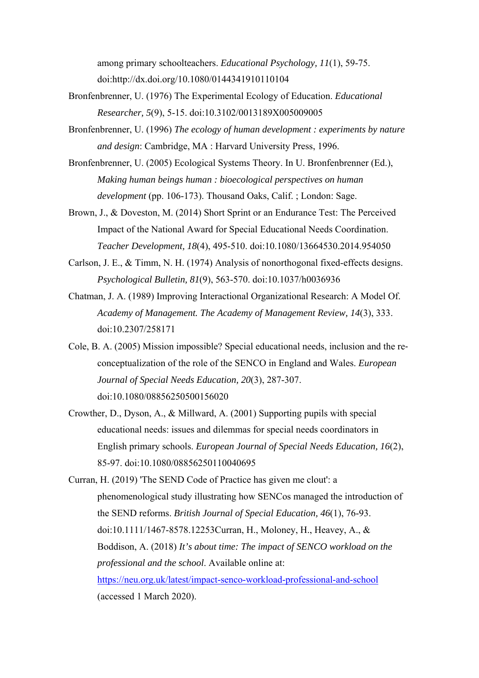among primary schoolteachers. *Educational Psychology, 11*(1), 59-75. doi:http://dx.doi.org/10.1080/0144341910110104

- Bronfenbrenner, U. (1976) The Experimental Ecology of Education. *Educational Researcher, 5*(9), 5-15. doi:10.3102/0013189X005009005
- Bronfenbrenner, U. (1996) *The ecology of human development : experiments by nature and design*: Cambridge, MA : Harvard University Press, 1996.
- Bronfenbrenner, U. (2005) Ecological Systems Theory. In U. Bronfenbrenner (Ed.), *Making human beings human : bioecological perspectives on human development* (pp. 106-173). Thousand Oaks, Calif. ; London: Sage.
- Brown, J., & Doveston, M. (2014) Short Sprint or an Endurance Test: The Perceived Impact of the National Award for Special Educational Needs Coordination. *Teacher Development, 18*(4), 495-510. doi:10.1080/13664530.2014.954050
- Carlson, J. E., & Timm, N. H. (1974) Analysis of nonorthogonal fixed-effects designs. *Psychological Bulletin, 81*(9), 563-570. doi:10.1037/h0036936
- Chatman, J. A. (1989) Improving Interactional Organizational Research: A Model Of. *Academy of Management. The Academy of Management Review, 14*(3), 333. doi:10.2307/258171
- Cole, B. A. (2005) Mission impossible? Special educational needs, inclusion and the reconceptualization of the role of the SENCO in England and Wales. *European Journal of Special Needs Education, 20*(3), 287-307. doi:10.1080/08856250500156020
- Crowther, D., Dyson, A., & Millward, A. (2001) Supporting pupils with special educational needs: issues and dilemmas for special needs coordinators in English primary schools. *European Journal of Special Needs Education, 16*(2), 85-97. doi:10.1080/08856250110040695

Curran, H. (2019) 'The SEND Code of Practice has given me clout': a phenomenological study illustrating how SENCos managed the introduction of the SEND reforms. *British Journal of Special Education, 46*(1), 76-93. doi:10.1111/1467-8578.12253Curran, H., Moloney, H., Heavey, A., & Boddison, A. (2018) *It's about time: The impact of SENCO workload on the professional and the school*. Available online at: https://neu.org.uk/latest/impact-senco-workload-professional-and-school (accessed 1 March 2020).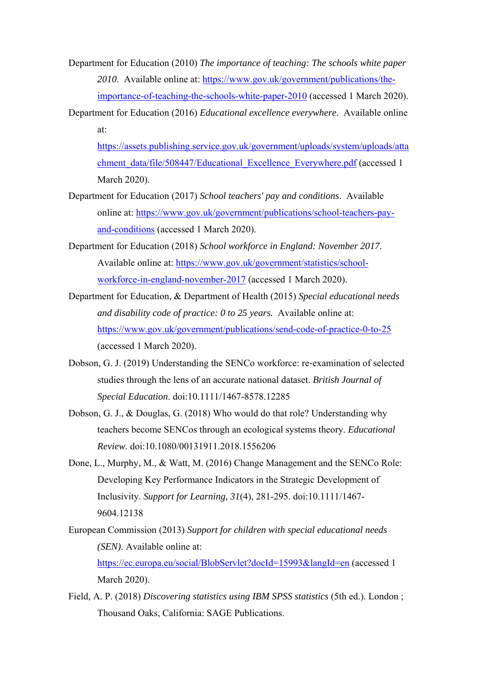- Department for Education (2010) *The importance of teaching: The schools white paper 2010*. Available online at: https://www.gov.uk/government/publications/theimportance-of-teaching-the-schools-white-paper-2010 (accessed 1 March 2020).
- Department for Education (2016) *Educational excellence everywhere*. Available online at:

https://assets.publishing.service.gov.uk/government/uploads/system/uploads/atta chment\_data/file/508447/Educational\_Excellence\_Everywhere.pdf (accessed 1 March 2020).

- Department for Education (2017) *School teachers' pay and conditions*. Available online at: https://www.gov.uk/government/publications/school-teachers-payand-conditions (accessed 1 March 2020).
- Department for Education (2018) *School workforce in England: November 2017*. Available online at: https://www.gov.uk/government/statistics/schoolworkforce-in-england-november-2017 (accessed 1 March 2020).
- Department for Education, & Department of Health (2015) *Special educational needs and disability code of practice: 0 to 25 years.* Available online at: https://www.gov.uk/government/publications/send-code-of-practice-0-to-25 (accessed 1 March 2020).
- Dobson, G. J. (2019) Understanding the SENCo workforce: re-examination of selected studies through the lens of an accurate national dataset. *British Journal of Special Education*. doi:10.1111/1467-8578.12285
- Dobson, G. J., & Douglas, G. (2018) Who would do that role? Understanding why teachers become SENCos through an ecological systems theory. *Educational Review*. doi:10.1080/00131911.2018.1556206
- Done, L., Murphy, M., & Watt, M. (2016) Change Management and the SENCo Role: Developing Key Performance Indicators in the Strategic Development of Inclusivity. *Support for Learning, 31*(4), 281-295. doi:10.1111/1467- 9604.12138
- European Commission (2013) *Support for children with special educational needs (SEN)*. Available online at:

https://ec.europa.eu/social/BlobServlet?docId=15993&langId=en (accessed 1 March 2020).

Field, A. P. (2018) *Discovering statistics using IBM SPSS statistics* (5th ed.). London ; Thousand Oaks, California: SAGE Publications.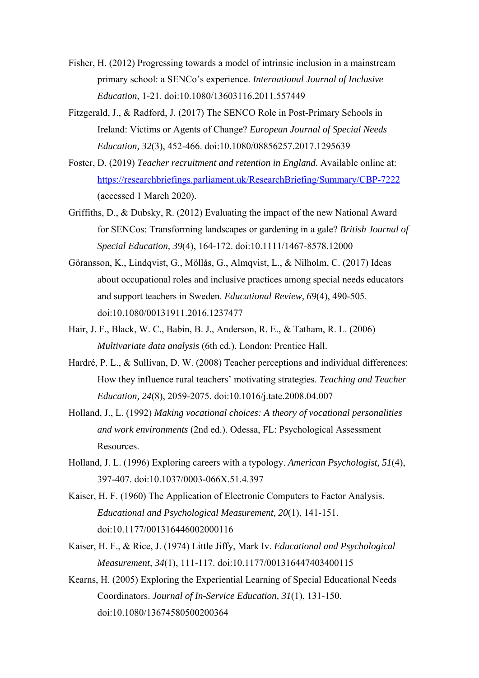- Fisher, H. (2012) Progressing towards a model of intrinsic inclusion in a mainstream primary school: a SENCo's experience. *International Journal of Inclusive Education*, 1-21. doi:10.1080/13603116.2011.557449
- Fitzgerald, J., & Radford, J. (2017) The SENCO Role in Post-Primary Schools in Ireland: Victims or Agents of Change? *European Journal of Special Needs Education, 32*(3), 452-466. doi:10.1080/08856257.2017.1295639
- Foster, D. (2019) *Teacher recruitment and retention in England*. Available online at: https://researchbriefings.parliament.uk/ResearchBriefing/Summary/CBP-7222 (accessed 1 March 2020).
- Griffiths, D., & Dubsky, R. (2012) Evaluating the impact of the new National Award for SENCos: Transforming landscapes or gardening in a gale? *British Journal of Special Education, 39*(4), 164-172. doi:10.1111/1467-8578.12000
- Göransson, K., Lindqvist, G., Möllås, G., Almqvist, L., & Nilholm, C. (2017) Ideas about occupational roles and inclusive practices among special needs educators and support teachers in Sweden. *Educational Review, 69*(4), 490-505. doi:10.1080/00131911.2016.1237477
- Hair, J. F., Black, W. C., Babin, B. J., Anderson, R. E., & Tatham, R. L. (2006) *Multivariate data analysis* (6th ed.). London: Prentice Hall.
- Hardré, P. L., & Sullivan, D. W. (2008) Teacher perceptions and individual differences: How they influence rural teachers' motivating strategies. *Teaching and Teacher Education, 24*(8), 2059-2075. doi:10.1016/j.tate.2008.04.007
- Holland, J., L. (1992) *Making vocational choices: A theory of vocational personalities and work environments* (2nd ed.). Odessa, FL: Psychological Assessment Resources.
- Holland, J. L. (1996) Exploring careers with a typology. *American Psychologist, 51*(4), 397-407. doi:10.1037/0003-066X.51.4.397
- Kaiser, H. F. (1960) The Application of Electronic Computers to Factor Analysis. *Educational and Psychological Measurement, 20*(1), 141-151. doi:10.1177/001316446002000116
- Kaiser, H. F., & Rice, J. (1974) Little Jiffy, Mark Iv. *Educational and Psychological Measurement, 34*(1), 111-117. doi:10.1177/001316447403400115
- Kearns, H. (2005) Exploring the Experiential Learning of Special Educational Needs Coordinators. *Journal of In-Service Education, 31*(1), 131-150. doi:10.1080/13674580500200364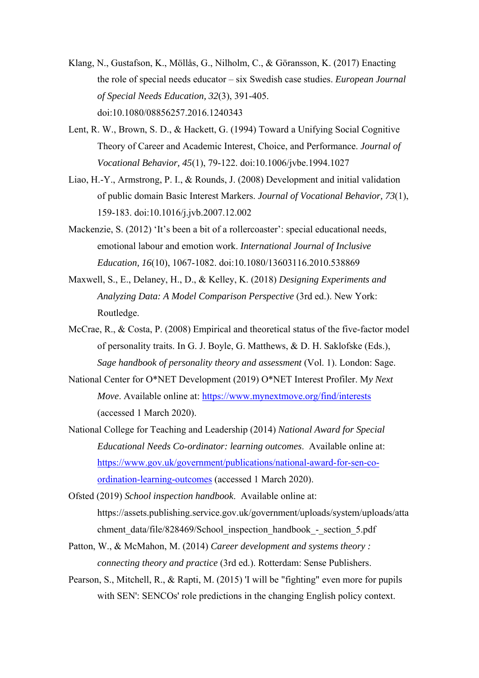- Klang, N., Gustafson, K., Möllås, G., Nilholm, C., & Göransson, K. (2017) Enacting the role of special needs educator – six Swedish case studies. *European Journal of Special Needs Education, 32*(3), 391-405. doi:10.1080/08856257.2016.1240343
- Lent, R. W., Brown, S. D., & Hackett, G. (1994) Toward a Unifying Social Cognitive Theory of Career and Academic Interest, Choice, and Performance. *Journal of Vocational Behavior, 45*(1), 79-122. doi:10.1006/jvbe.1994.1027
- Liao, H.-Y., Armstrong, P. I., & Rounds, J. (2008) Development and initial validation of public domain Basic Interest Markers. *Journal of Vocational Behavior, 73*(1), 159-183. doi:10.1016/j.jvb.2007.12.002
- Mackenzie, S. (2012) 'It's been a bit of a rollercoaster': special educational needs, emotional labour and emotion work. *International Journal of Inclusive Education, 16*(10), 1067-1082. doi:10.1080/13603116.2010.538869
- Maxwell, S., E., Delaney, H., D., & Kelley, K. (2018) *Designing Experiments and Analyzing Data: A Model Comparison Perspective* (3rd ed.). New York: Routledge.
- McCrae, R., & Costa, P. (2008) Empirical and theoretical status of the five-factor model of personality traits. In G. J. Boyle, G. Matthews, & D. H. Saklofske (Eds.), *Sage handbook of personality theory and assessment* (Vol. 1). London: Sage.
- National Center for O\*NET Development (2019) O\*NET Interest Profiler. M*y Next Move*. Available online at: https://www.mynextmove.org/find/interests (accessed 1 March 2020).
- National College for Teaching and Leadership (2014) *National Award for Special Educational Needs Co-ordinator: learning outcomes*. Available online at: https://www.gov.uk/government/publications/national-award-for-sen-coordination-learning-outcomes (accessed 1 March 2020).
- Ofsted (2019) *School inspection handbook*. Available online at: https://assets.publishing.service.gov.uk/government/uploads/system/uploads/atta chment\_data/file/828469/School\_inspection\_handbook\_-\_section\_5.pdf
- Patton, W., & McMahon, M. (2014) *Career development and systems theory : connecting theory and practice* (3rd ed.). Rotterdam: Sense Publishers.
- Pearson, S., Mitchell, R., & Rapti, M. (2015) 'I will be "fighting" even more for pupils with SEN': SENCOs' role predictions in the changing English policy context.